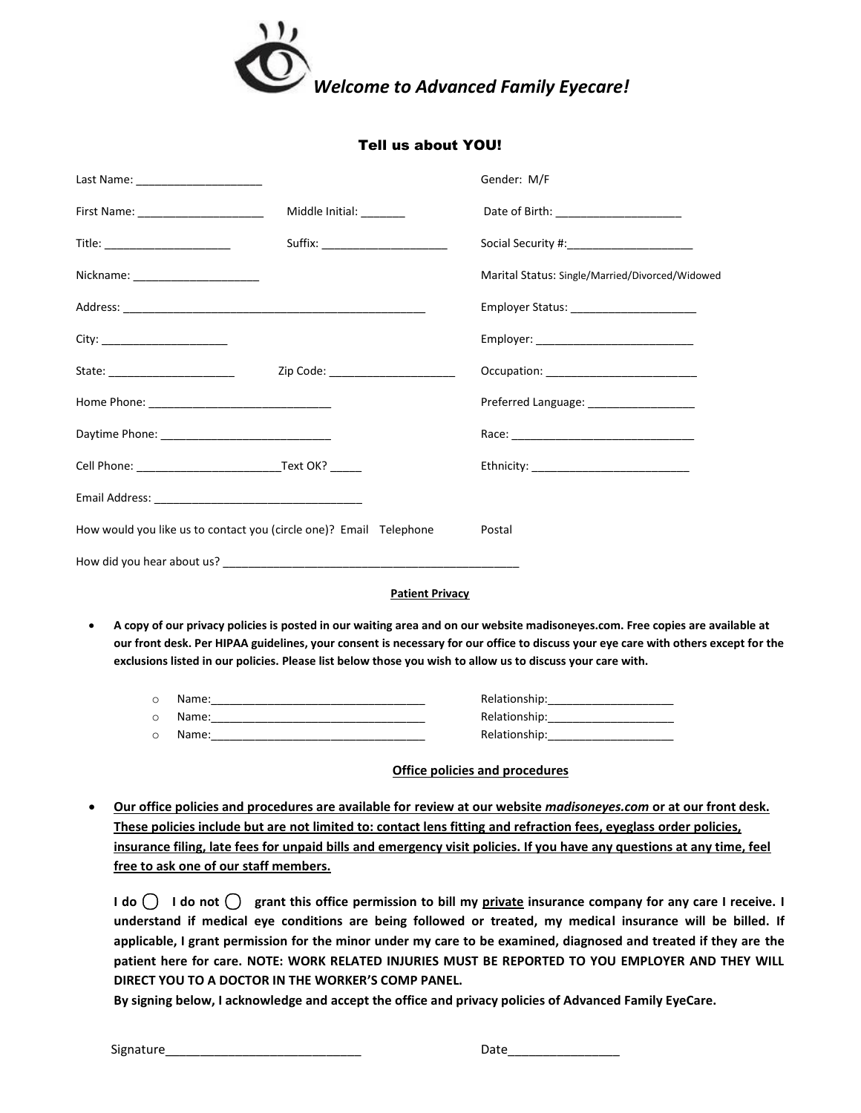

### Tell us about YOU!

| Last Name: _______________________                                                                                                                                                                                                                                                                                                                                                     |                                    | Gender: M/F                                     |  |  |  |
|----------------------------------------------------------------------------------------------------------------------------------------------------------------------------------------------------------------------------------------------------------------------------------------------------------------------------------------------------------------------------------------|------------------------------------|-------------------------------------------------|--|--|--|
|                                                                                                                                                                                                                                                                                                                                                                                        | Middle Initial: _______            | Date of Birth: _______________________          |  |  |  |
| Title: ________________________                                                                                                                                                                                                                                                                                                                                                        |                                    |                                                 |  |  |  |
| Nickname: _______________________                                                                                                                                                                                                                                                                                                                                                      |                                    | Marital Status: Single/Married/Divorced/Widowed |  |  |  |
|                                                                                                                                                                                                                                                                                                                                                                                        |                                    | Employer Status: _______________________        |  |  |  |
| City: _________________________                                                                                                                                                                                                                                                                                                                                                        |                                    |                                                 |  |  |  |
| State: ______________________                                                                                                                                                                                                                                                                                                                                                          | Zip Code: ________________________ |                                                 |  |  |  |
|                                                                                                                                                                                                                                                                                                                                                                                        |                                    | Preferred Language: ___________________         |  |  |  |
|                                                                                                                                                                                                                                                                                                                                                                                        |                                    |                                                 |  |  |  |
| Cell Phone: Text OK?                                                                                                                                                                                                                                                                                                                                                                   |                                    | Ethnicity: ______________________________       |  |  |  |
|                                                                                                                                                                                                                                                                                                                                                                                        |                                    |                                                 |  |  |  |
| How would you like us to contact you (circle one)? Email Telephone                                                                                                                                                                                                                                                                                                                     |                                    | Postal                                          |  |  |  |
|                                                                                                                                                                                                                                                                                                                                                                                        |                                    |                                                 |  |  |  |
| <b>Patient Privacy</b>                                                                                                                                                                                                                                                                                                                                                                 |                                    |                                                 |  |  |  |
| A copy of our privacy policies is posted in our waiting area and on our website madisoneyes.com. Free copies are available at<br>٠<br>our front desk. Per HIPAA guidelines, your consent is necessary for our office to discuss your eye care with others except for the<br>exclusions listed in our policies. Please list below those you wish to allow us to discuss your care with. |                                    |                                                 |  |  |  |

| Name: | Relationship: |
|-------|---------------|
| Name: | Relationship: |
| Name: | Relationship: |

#### **Office policies and procedures**

 **Our office policies and procedures are available for review at our website** *madisoneyes.com* **or at our front desk. These policies include but are not limited to: contact lens fitting and refraction fees, eyeglass order policies, insurance filing, late fees for unpaid bills and emergency visit policies. If you have any questions at any time, feel free to ask one of our staff members.**

**I do** ⃝ **I do not** ⃝ **grant this office permission to bill my private insurance company for any care I receive. I understand if medical eye conditions are being followed or treated, my medical insurance will be billed. If applicable, I grant permission for the minor under my care to be examined, diagnosed and treated if they are the patient here for care. NOTE: WORK RELATED INJURIES MUST BE REPORTED TO YOU EMPLOYER AND THEY WILL DIRECT YOU TO A DOCTOR IN THE WORKER'S COMP PANEL.** 

**By signing below, I acknowledge and accept the office and privacy policies of Advanced Family EyeCare.** 

Signature\_\_\_\_\_\_\_\_\_\_\_\_\_\_\_\_\_\_\_\_\_\_\_\_\_\_\_\_ Date\_\_\_\_\_\_\_\_\_\_\_\_\_\_\_\_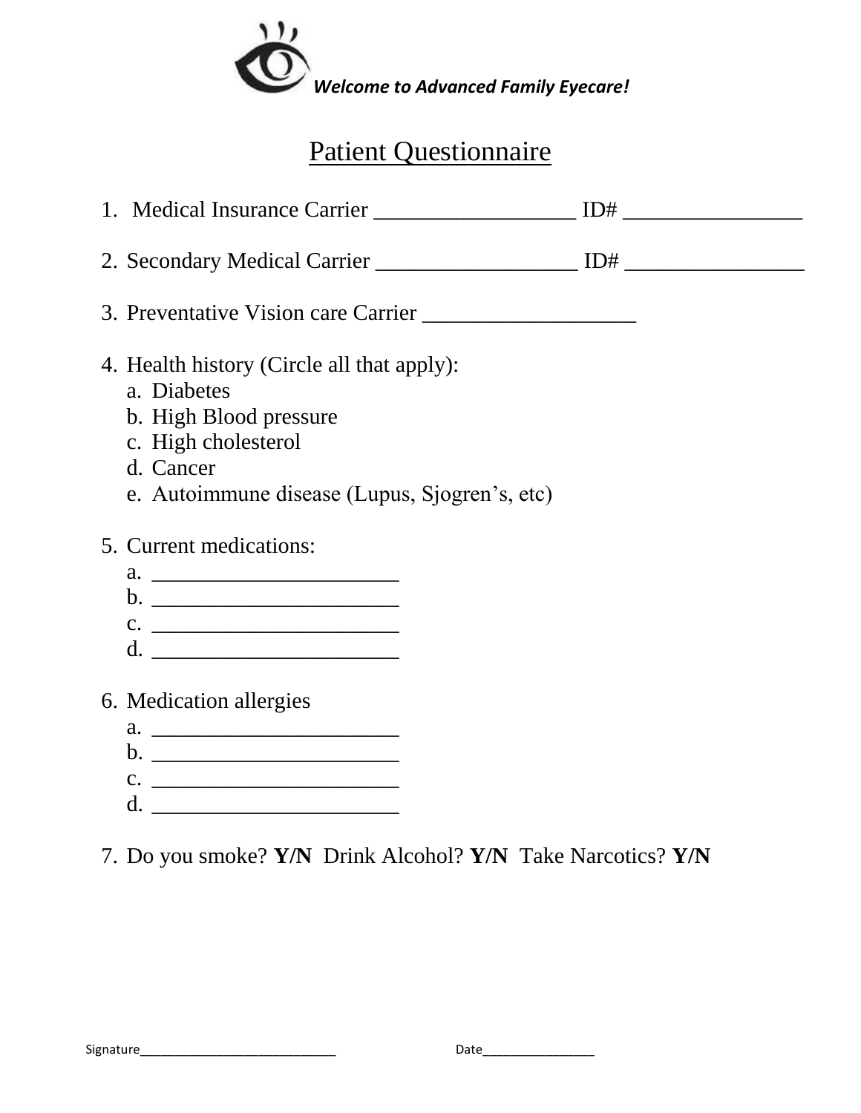

# Patient Questionnaire

| 4. Health history (Circle all that apply):<br>a. Diabetes<br>b. High Blood pressure<br>c. High cholesterol<br>d. Cancer<br>e. Autoimmune disease (Lupus, Sjogren's, etc) |  |
|--------------------------------------------------------------------------------------------------------------------------------------------------------------------------|--|
| 5. Current medications:                                                                                                                                                  |  |
| 6. Medication allergies                                                                                                                                                  |  |

7. Do you smoke? **Y/N** Drink Alcohol? **Y/N** Take Narcotics? **Y/N**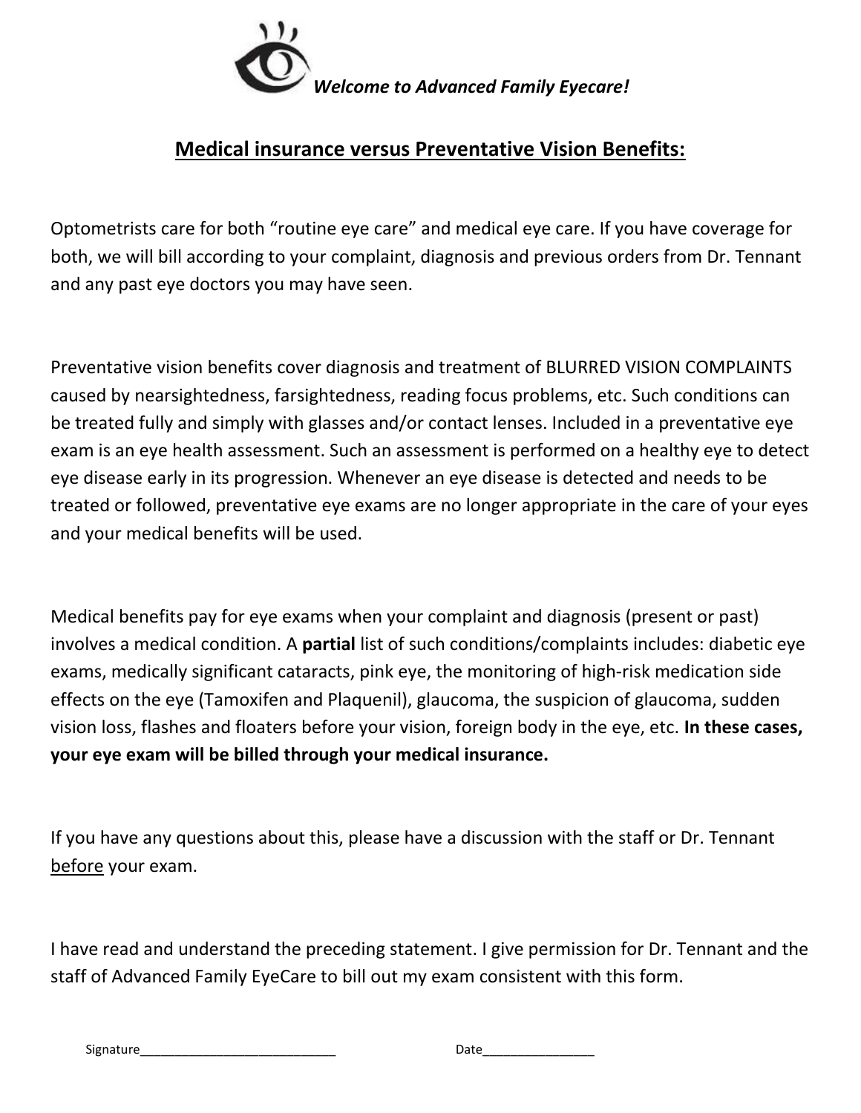

## **Medical insurance versus Preventative Vision Benefits:**

Optometrists care for both "routine eye care" and medical eye care. If you have coverage for both, we will bill according to your complaint, diagnosis and previous orders from Dr. Tennant and any past eye doctors you may have seen.

Preventative vision benefits cover diagnosis and treatment of BLURRED VISION COMPLAINTS caused by nearsightedness, farsightedness, reading focus problems, etc. Such conditions can be treated fully and simply with glasses and/or contact lenses. Included in a preventative eye exam is an eye health assessment. Such an assessment is performed on a healthy eye to detect eye disease early in its progression. Whenever an eye disease is detected and needs to be treated or followed, preventative eye exams are no longer appropriate in the care of your eyes and your medical benefits will be used.

Medical benefits pay for eye exams when your complaint and diagnosis (present or past) involves a medical condition. A **partial** list of such conditions/complaints includes: diabetic eye exams, medically significant cataracts, pink eye, the monitoring of high-risk medication side effects on the eye (Tamoxifen and Plaquenil), glaucoma, the suspicion of glaucoma, sudden vision loss, flashes and floaters before your vision, foreign body in the eye, etc. **In these cases, your eye exam will be billed through your medical insurance.** 

If you have any questions about this, please have a discussion with the staff or Dr. Tennant before your exam.

I have read and understand the preceding statement. I give permission for Dr. Tennant and the staff of Advanced Family EyeCare to bill out my exam consistent with this form.

Signature\_\_\_\_\_\_\_\_\_\_\_\_\_\_\_\_\_\_\_\_\_\_\_\_\_\_\_\_ Date\_\_\_\_\_\_\_\_\_\_\_\_\_\_\_\_